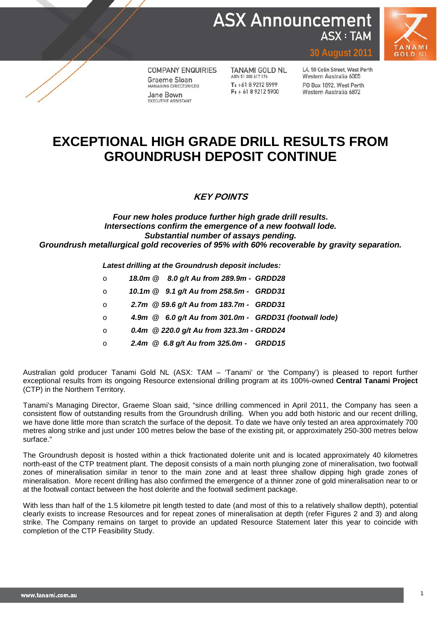**ASX Announcement ASX: TAM** 



**COMPANY ENQUIRIES** Graeme Sloan MANAGING DIRECTOR/CEO Jane Bown EXECUTIVE ASSISTANT

**TANAMI GOLD NL** ABN 51 000 617 176  $T: +61892125999$  $F: +61892125900$ 

L4, 50 Colin Street, West Perth Western Australia 6005 PO Box 1892, West Perth Western Australia 6872

**30 August 2011**

# **EXCEPTIONAL HIGH GRADE DRILL RESULTS FROM GROUNDRUSH DEPOSIT CONTINUE**

### **KEY POINTS**

### *Four new holes produce further high grade drill results. Intersections confirm the emergence of a new footwall lode. Substantial number of assays pending. Groundrush metallurgical gold recoveries of 95% with 60% recoverable by gravity separation.*

*Latest drilling at the Groundrush deposit includes:*

- o *18.0m @ 8.0 g/t Au from 289.9m - GRDD28*
- o *10.1m @ 9.1 g/t Au from 258.5m GRDD31*
- o *2.7m @ 59.6 g/t Au from 183.7m GRDD31*
- o *4.9m @ 6.0 g/t Au from 301.0m GRDD31 (footwall lode)*
- o *0.4m @ 220.0 g/t Au from 323.3m - GRDD24*
- o *2.4m @ 6.8 g/t Au from 325.0m GRDD15*

Australian gold producer Tanami Gold NL (ASX: TAM – 'Tanami' or 'the Company') is pleased to report further exceptional results from its ongoing Resource extensional drilling program at its 100%-owned **Central Tanami Project** (CTP) in the Northern Territory.

Tanami's Managing Director, Graeme Sloan said, "since drilling commenced in April 2011, the Company has seen a consistent flow of outstanding results from the Groundrush drilling. When you add both historic and our recent drilling, we have done little more than scratch the surface of the deposit. To date we have only tested an area approximately 700 metres along strike and just under 100 metres below the base of the existing pit, or approximately 250-300 metres below surface."

The Groundrush deposit is hosted within a thick fractionated dolerite unit and is located approximately 40 kilometres north-east of the CTP treatment plant. The deposit consists of a main north plunging zone of mineralisation, two footwall zones of mineralisation similar in tenor to the main zone and at least three shallow dipping high grade zones of mineralisation. More recent drilling has also confirmed the emergence of a thinner zone of gold mineralisation near to or at the footwall contact between the host dolerite and the footwall sediment package.

With less than half of the 1.5 kilometre pit length tested to date (and most of this to a relatively shallow depth), potential clearly exists to increase Resources and for repeat zones of mineralisation at depth (refer Figures 2 and 3) and along strike. The Company remains on target to provide an updated Resource Statement later this year to coincide with completion of the CTP Feasibility Study.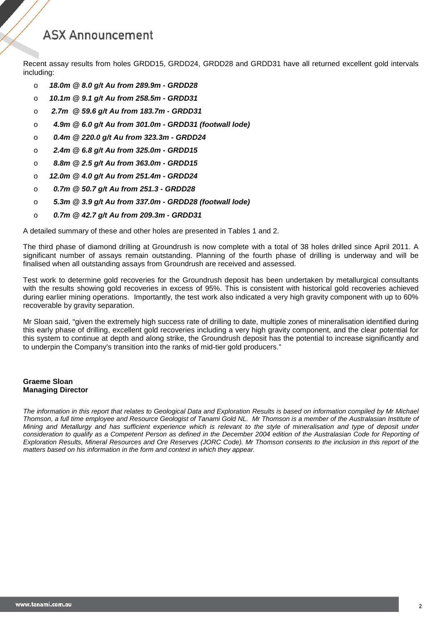Recent assay results from holes GRDD15, GRDD24, GRDD28 and GRDD31 have all returned excellent gold intervals including:

- o *18.0m @ 8.0 g/t Au from 289.9m - GRDD28*
- o *10.1m @ 9.1 g/t Au from 258.5m - GRDD31*
- o *2.7m @ 59.6 g/t Au from 183.7m - GRDD31*
- o *4.9m @ 6.0 g/t Au from 301.0m - GRDD31 (footwall lode)*
- o *0.4m @ 220.0 g/t Au from 323.3m - GRDD24*
- o *2.4m @ 6.8 g/t Au from 325.0m - GRDD15*
- o *8.8m @ 2.5 g/t Au from 363.0m - GRDD15*
- o *12.0m @ 4.0 g/t Au from 251.4m - GRDD24*
- o *0.7m @ 50.7 g/t Au from 251.3 - GRDD28*
- o *5.3m @ 3.9 g/t Au from 337.0m - GRDD28 (footwall lode)*
- o *0.7m @ 42.7 g/t Au from 209.3m - GRDD31*

A detailed summary of these and other holes are presented in Tables 1 and 2.

The third phase of diamond drilling at Groundrush is now complete with a total of 38 holes drilled since April 2011. A significant number of assays remain outstanding. Planning of the fourth phase of drilling is underway and will be finalised when all outstanding assays from Groundrush are received and assessed.

Test work to determine gold recoveries for the Groundrush deposit has been undertaken by metallurgical consultants with the results showing gold recoveries in excess of 95%. This is consistent with historical gold recoveries achieved during earlier mining operations. Importantly, the test work also indicated a very high gravity component with up to 60% recoverable by gravity separation.

Mr Sloan said, "given the extremely high success rate of drilling to date, multiple zones of mineralisation identified during this early phase of drilling, excellent gold recoveries including a very high gravity component, and the clear potential for this system to continue at depth and along strike, the Groundrush deposit has the potential to increase significantly and to underpin the Company's transition into the ranks of mid-tier gold producers."

#### **Graeme Sloan Managing Director**

*The information in this report that relates to Geological Data and Exploration Results is based on information compiled by Mr Michael Thomson, a full time employee and Resource Geologist of Tanami Gold NL. Mr Thomson is a member of the Australasian Institute of Mining and Metallurgy and has sufficient experience which is relevant to the style of mineralisation and type of deposit under consideration to qualify as a Competent Person as defined in the December 2004 edition of the Australasian Code for Reporting of Exploration Results, Mineral Resources and Ore Reserves (JORC Code). Mr Thomson consents to the inclusion in this report of the matters based on his information in the form and context in which they appear.*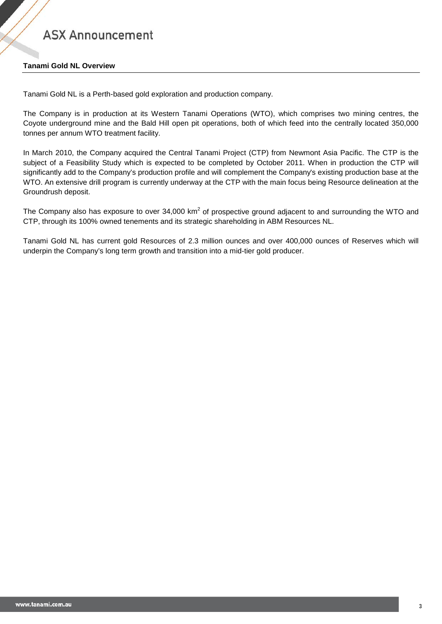#### **Tanami Gold NL Overview**

Tanami Gold NL is a Perth-based gold exploration and production company.

The Company is in production at its Western Tanami Operations (WTO), which comprises two mining centres, the Coyote underground mine and the Bald Hill open pit operations, both of which feed into the centrally located 350,000 tonnes per annum WTO treatment facility.

In March 2010, the Company acquired the Central Tanami Project (CTP) from Newmont Asia Pacific. The CTP is the subject of a Feasibility Study which is expected to be completed by October 2011. When in production the CTP will significantly add to the Company's production profile and will complement the Company's existing production base at the WTO. An extensive drill program is currently underway at the CTP with the main focus being Resource delineation at the Groundrush deposit.

The Company also has exposure to over 34,000 km<sup>2</sup> of prospective ground adjacent to and surrounding the WTO and CTP, through its 100% owned tenements and its strategic shareholding in ABM Resources NL.

Tanami Gold NL has current gold Resources of 2.3 million ounces and over 400,000 ounces of Reserves which will underpin the Company's long term growth and transition into a mid-tier gold producer.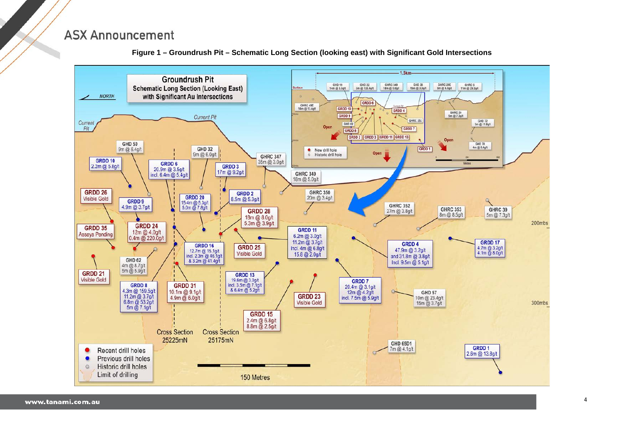

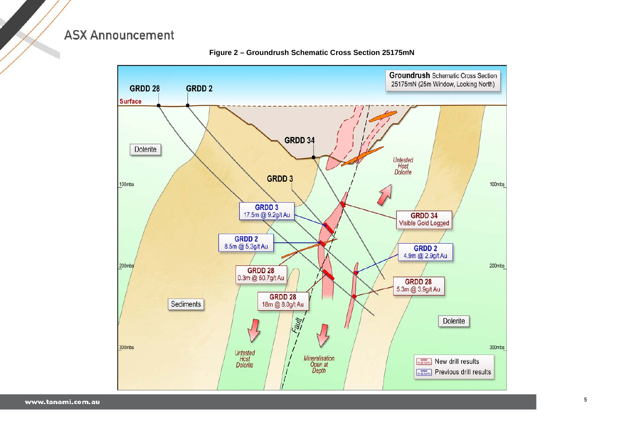

#### Figure 2 - Groundrush Schematic Cross Section 25175mN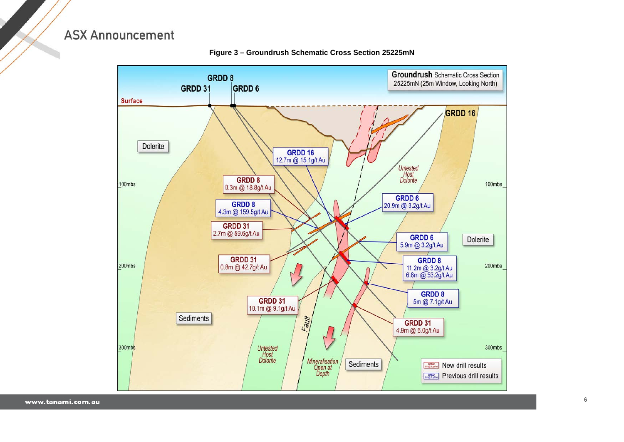

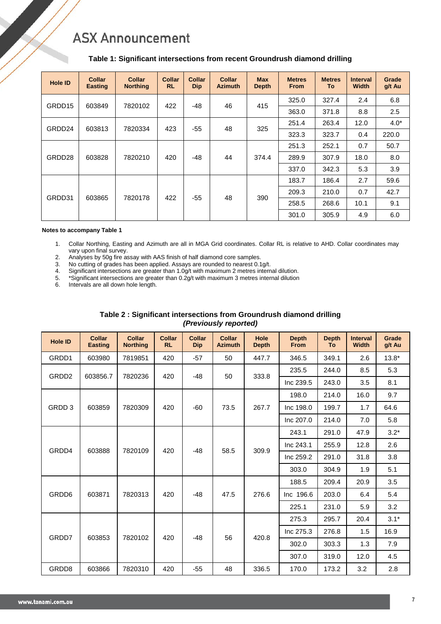#### **Table 1: Significant intersections from recent Groundrush diamond drilling**

| <b>Hole ID</b> | <b>Collar</b><br><b>Easting</b> | <b>Collar</b><br><b>Northing</b> | Collar<br><b>RL</b> | <b>Collar</b><br><b>Dip</b> | <b>Collar</b><br><b>Azimuth</b> | <b>Max</b><br><b>Depth</b> | <b>Metres</b><br><b>From</b> | <b>Metres</b><br>To: | <b>Interval</b><br><b>Width</b> | Grade<br>g/t Au   |
|----------------|---------------------------------|----------------------------------|---------------------|-----------------------------|---------------------------------|----------------------------|------------------------------|----------------------|---------------------------------|-------------------|
|                | 603849                          | 7820102                          | 422                 | $-48$                       | 46                              |                            | 325.0                        | 327.4                | 2.4                             | 6.8               |
| GRDD15         |                                 |                                  |                     |                             |                                 | 415                        | 363.0                        | 371.8                | 8.8                             | 2.5               |
| GRDD24         | 603813                          | 7820334                          | 423                 | $-55$                       | 48                              | 325                        | 251.4                        | 263.4                | 12.0                            | $4.0*$            |
|                |                                 |                                  |                     |                             |                                 |                            | 323.3                        | 323.7                | 0.4                             | 220.0             |
| GRDD28         |                                 |                                  |                     |                             |                                 |                            | 251.3                        | 252.1                | 0.7<br>50.7<br>8.0<br>18.0      |                   |
|                | 603828                          | 7820210                          | 420                 | $-48$                       | 44                              | 374.4                      | 289.9                        | 307.9                |                                 |                   |
|                |                                 |                                  |                     |                             |                                 |                            | 337.0                        | 342.3                | 5.3                             | 3.9               |
|                |                                 |                                  |                     |                             |                                 |                            | 183.7                        | 186.4                | 2.7                             | 59.6              |
| GRDD31         | 603865                          | 7820178                          | 422                 | $-55$                       | 48                              | 390                        | 209.3                        | 210.0                | 0.7                             | 42.7              |
|                |                                 |                                  |                     |                             |                                 |                            | 258.5                        | 268.6                | 10.1                            | 9.1<br>6.0<br>4.9 |
|                |                                 |                                  |                     |                             |                                 |                            | 301.0                        | 305.9                |                                 |                   |

#### **Notes to accompany Table 1**

- 1. Collar Northing, Easting and Azimuth are all in MGA Grid coordinates. Collar RL is relative to AHD. Collar coordinates may vary upon final survey.
- 2. Analyses by 50g fire assay with AAS finish of half diamond core samples.<br>3. No cutting of grades has been applied. Assays are rounded to nearest 0.1
- 
- 3. No cutting of grades has been applied. Assays are rounded to nearest 0.1g/t.<br>4. Significant intersections are greater than 1.0g/t with maximum 2 metres interr 4. Significant intersections are greater than 1.0g/t with maximum 2 metres internal dilution.
- 5. \*Significant intersections are greater than 0.2g/t with maximum 3 metres internal dilution
- 6. Intervals are all down hole length.

| <b>Hole ID</b>    | <b>Collar</b><br><b>Easting</b> | <b>Collar</b><br><b>Northing</b> | <b>Collar</b><br><b>RL</b> | <b>Collar</b><br><b>Dip</b> | <b>Collar</b><br><b>Azimuth</b> | Hole<br><b>Depth</b> | <b>Depth</b><br><b>From</b> | <b>Depth</b><br><b>To</b> | <b>Interval</b><br><b>Width</b> | Grade<br>g/t Au   |  |  |
|-------------------|---------------------------------|----------------------------------|----------------------------|-----------------------------|---------------------------------|----------------------|-----------------------------|---------------------------|---------------------------------|-------------------|--|--|
| GRDD1             | 603980                          | 7819851                          | 420                        | $-57$                       | 50                              | 447.7                | 346.5                       | 349.1                     | 2.6                             | $13.8*$           |  |  |
| GRDD <sub>2</sub> | 603856.7                        | 7820236                          | 420                        | $-48$                       |                                 |                      | 235.5                       | 244.0                     | 8.5                             | 5.3               |  |  |
|                   |                                 |                                  |                            |                             | 50                              | 333.8                | Inc 239.5                   | 243.0                     | 3.5                             | 8.1               |  |  |
|                   |                                 |                                  |                            |                             |                                 |                      | 198.0                       | 214.0                     | 16.0                            | 9.7               |  |  |
| GRDD 3            | 603859                          | 7820309                          | 420                        | -60                         | 73.5                            | 267.7                | Inc 198.0                   | 199.7                     | 1.7                             | 64.6              |  |  |
|                   |                                 |                                  |                            |                             |                                 |                      | Inc 207.0                   | 214.0                     | 7.0                             | 5.8               |  |  |
| GRDD4             |                                 |                                  |                            |                             |                                 |                      | 243.1                       | 291.0                     | 47.9                            | $3.2*$            |  |  |
|                   | 603888                          | 7820109                          | 420                        | $-48$                       | 58.5                            | 309.9                | Inc 243.1                   | 255.9                     | 12.8                            | 2.6               |  |  |
|                   |                                 |                                  |                            |                             |                                 |                      | Inc 259.2                   | 291.0                     | 31.8                            | 3.8<br>5.1<br>1.9 |  |  |
|                   |                                 |                                  |                            |                             |                                 |                      | 303.0                       | 304.9                     |                                 |                   |  |  |
|                   |                                 |                                  |                            |                             |                                 |                      | 188.5                       | 209.4                     | 20.9                            | 3.5<br>6.4<br>5.4 |  |  |
| GRDD6             | 603871                          | 7820313                          | 420                        | $-48$                       | 47.5                            | 276.6                | Inc 196.6                   | 203.0                     |                                 |                   |  |  |
|                   |                                 |                                  |                            |                             |                                 |                      | 225.1                       | 231.0                     | 5.9                             | 3.2               |  |  |
|                   |                                 |                                  |                            |                             |                                 |                      | 275.3                       | 295.7                     | 20.4                            | $3.1*$            |  |  |
| GRDD7             | 603853                          | 7820102                          |                            | $-48$                       |                                 |                      | Inc 275.3                   | 276.8                     | 1.5                             | 16.9              |  |  |
|                   |                                 |                                  | 420                        |                             | 56                              | 420.8                | 302.0                       | 303.3                     | 1.3                             | 7.9               |  |  |
|                   |                                 |                                  |                            |                             |                                 |                      | 307.0                       | 319.0                     | 12.0                            | 4.5               |  |  |
| GRDD8             | 603866                          | 7820310                          | 420                        | $-55$                       | 48                              | 336.5                | 170.0                       | 173.2                     | 3.2                             | 2.8               |  |  |

#### **Table 2 : Significant intersections from Groundrush diamond drilling** *(Previously reported)*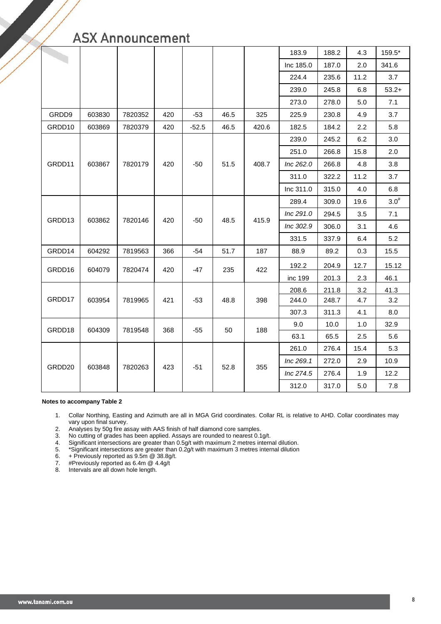|        |        |         |     |         |      |       | 183.9     | 188.2 | 4.3     | 159.5*                                                                                                                                          |
|--------|--------|---------|-----|---------|------|-------|-----------|-------|---------|-------------------------------------------------------------------------------------------------------------------------------------------------|
|        |        |         |     |         |      |       | Inc 185.0 | 187.0 | 2.0     | 341.6                                                                                                                                           |
|        |        |         |     |         |      |       |           | 235.6 | 11.2    | 3.7                                                                                                                                             |
|        |        |         |     |         |      |       | 239.0     | 245.8 | $6.8\,$ | $53.2+$                                                                                                                                         |
|        |        |         |     |         |      |       | 273.0     | 278.0 | 5.0     | 7.1                                                                                                                                             |
| GRDD9  | 603830 | 7820352 | 420 | $-53$   | 46.5 | 325   | 225.9     | 230.8 | 4.9     | 3.7                                                                                                                                             |
| GRDD10 | 603869 | 7820379 | 420 | $-52.5$ | 46.5 | 420.6 | 182.5     | 184.2 | 2.2     | 5.8                                                                                                                                             |
|        |        |         |     |         |      |       | 239.0     | 245.2 | 6.2     | 3.0                                                                                                                                             |
|        |        |         |     |         |      |       | 251.0     | 266.8 | 15.8    | 2.0<br>3.8<br>3.7<br>6.8<br>$3.0^{#}$<br>7.1<br>4.6<br>5.2<br>15.5<br>15.12<br>46.1<br>41.3<br>3.2<br>8.0<br>32.9<br>5.6<br>5.3<br>10.9<br>12.2 |
| GRDD11 | 603867 | 7820179 | 420 | $-50$   | 51.5 | 408.7 | Inc 262.0 | 266.8 | 4.8     |                                                                                                                                                 |
|        |        |         |     |         |      |       | 311.0     | 322.2 | 11.2    |                                                                                                                                                 |
|        |        |         |     |         |      |       | Inc 311.0 | 315.0 | 4.0     |                                                                                                                                                 |
|        |        |         |     |         |      |       | 289.4     | 309.0 | 19.6    |                                                                                                                                                 |
|        | 603862 | 7820146 | 420 | $-50$   |      | 415.9 | Inc 291.0 | 294.5 | 3.5     |                                                                                                                                                 |
| GRDD13 |        |         |     |         | 48.5 |       | Inc 302.9 | 306.0 | 3.1     |                                                                                                                                                 |
|        |        |         |     |         |      |       | 331.5     | 337.9 | 6.4     |                                                                                                                                                 |
| GRDD14 | 604292 | 7819563 | 366 | $-54$   | 51.7 | 187   | 88.9      | 89.2  | 0.3     |                                                                                                                                                 |
| GRDD16 | 604079 | 7820474 | 420 | 235     |      | 422   | 192.2     | 204.9 | 12.7    |                                                                                                                                                 |
|        |        |         |     | -47     |      |       | inc 199   | 201.3 | 2.3     |                                                                                                                                                 |
|        |        |         |     |         |      |       | 208.6     | 211.8 | 3.2     |                                                                                                                                                 |
| GRDD17 | 603954 | 7819965 | 421 | $-53$   | 48.8 | 398   | 244.0     | 248.7 | 4.7     |                                                                                                                                                 |
|        |        |         |     |         |      |       | 307.3     | 311.3 | 4.1     |                                                                                                                                                 |
| GRDD18 | 604309 | 7819548 | 368 | -55     | 50   | 188   | 9.0       | 10.0  | 1.0     |                                                                                                                                                 |
|        |        |         |     |         |      |       | 63.1      | 65.5  | 2.5     |                                                                                                                                                 |
|        |        |         |     |         |      |       | 261.0     | 276.4 | 15.4    |                                                                                                                                                 |
| GRDD20 | 603848 | 7820263 | 423 | $-51$   | 52.8 | 355   | Inc 269.1 | 272.0 | 2.9     |                                                                                                                                                 |
|        |        |         |     |         |      |       | Inc 274.5 | 276.4 | 1.9     |                                                                                                                                                 |
|        |        |         |     |         |      |       | 312.0     | 317.0 | 5.0     | 7.8                                                                                                                                             |

#### **Notes to accompany Table 2**

1. Collar Northing, Easting and Azimuth are all in MGA Grid coordinates. Collar RL is relative to AHD. Collar coordinates may vary upon final survey.

2. Analyses by 50g fire assay with AAS finish of half diamond core samples.

3. No cutting of grades has been applied. Assays are rounded to nearest 0.1g/t.

4. Significant intersections are greater than 0.5g/t with maximum 2 metres internal dilution.

5. \*Significant intersections are greater than 0.2g/t with maximum 3 metres internal dilution

6. + Previously reported as 9.5m @ 38.8g/t.

7. #Previously reported as 6.4m @ 4.4g/t

8. Intervals are all down hole length.